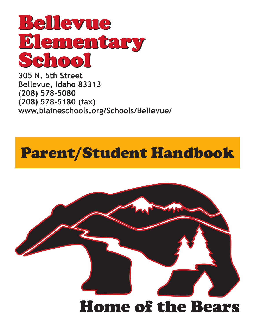

**305 N. 5th Street Bellevue, Idaho 83313 (208) 578-5080 (208) 578-5180 (fax) www.blaineschools.org/Schools/Bellevue/**

### Parent/Student Handbook

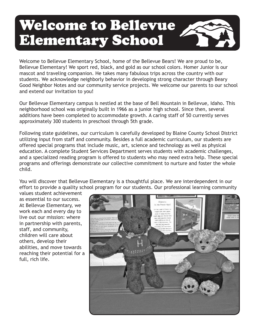### Welcome to Bellevue Elementary School



Welcome to Bellevue Elementary School, home of the Bellevue Bears! We are proud to be, Bellevue Elementary! We sport red, black, and gold as our school colors. Homer Junior is our mascot and traveling companion. He takes many fabulous trips across the country with our students. We acknowledge neighborly behavior in developing strong character through Beary Good Neighbor Notes and our community service projects. We welcome our parents to our school and extend our invitation to you!

Our Bellevue Elementary campus is nestled at the base of Bell Mountain in Bellevue, Idaho. This neighborhood school was originally built in 1966 as a junior high school. Since then, several additions have been completed to accommodate growth. A caring staff of 50 currently serves approximately 300 students in preschool through 5th grade.

Following state guidelines, our curriculum is carefully developed by Blaine County School District utilizing input from staff and community. Besides a full academic curriculum, our students are offered special programs that include music, art, science and technology as well as physical education. A complete Student Services Department serves students with academic challenges, and a specialized reading program is offered to students who may need extra help. These special programs and offerings demonstrate our collective commitment to nurture and foster the whole child.

You will discover that Bellevue Elementary is a thoughtful place. We are interdependent in our effort to provide a quality school program for our students. Our professional learning community

values student achievement as essential to our success. At Bellevue Elementary, we work each and every day to live out our mission: where in partnership with parents, staff, and community, children will care about others, develop their abilities, and move towards reaching their potential for a full, rich life.

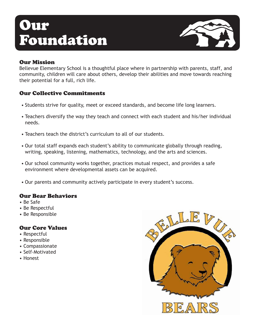### Our Foundation



#### Our Mission

Bellevue Elementary School is a thoughtful place where in partnership with parents, staff, and community, children will care about others, develop their abilities and move towards reaching their potential for a full, rich life.

#### Our Collective Commitments

- Students strive for quality, meet or exceed standards, and become life long learners.
- Teachers diversify the way they teach and connect with each student and his/her individual needs.
- Teachers teach the district's curriculum to all of our students.
- • Our total staff expands each student's ability to communicate globally through reading, writing, speaking, listening, mathematics, technology, and the arts and sciences.
- Our school community works together, practices mutual respect, and provides a safe environment where developmental assets can be acquired.
- Our parents and community actively participate in every student's success.

#### Our Bear Behaviors

- Be Safe
- Be Respectful
- Be Responsible

#### Our Core Values

- Respectful
- Responsible
- Compassionate
- Self-Motivated
- Honest

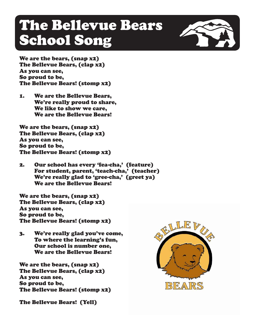### The Bellevue Bears School Song



We are the bears, (snap x2) The Bellevue Bears, (clap x2) As you can see, So proud to be, The Bellevue Bears! (stomp x2)

1. We are the Bellevue Bears, We're really proud to share, We like to show we care, We are the Bellevue Bears!

We are the bears, (snap x2) The Bellevue Bears, (clap x2) As you can see, So proud to be, The Bellevue Bears! (stomp x2)

2. Our school has every 'fea-cha,' (feature) For student, parent, 'teach-cha,' (teacher) We're really glad to 'gree-cha,' (greet ya) We are the Bellevue Bears!

We are the bears, (snap x2) The Bellevue Bears, (clap x2) As you can see, So proud to be, The Bellevue Bears! (stomp x2)

3. We're really glad you've come, To where the learning's fun, Our school is number one, We are the Bellevue Bears!

We are the bears, (snap x2) The Bellevue Bears, (clap x2) As you can see, So proud to be, The Bellevue Bears! (stomp x2)

The Bellevue Bears! (Yell)

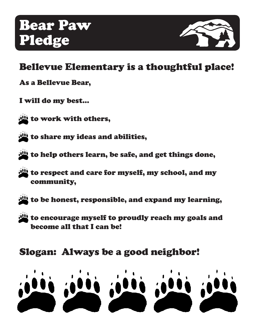

### Bellevue Elementary is a thoughtful place!

- As a Bellevue Bear,
- I will do my best…
- to work with others,
- to share my ideas and abilities,
- to help others learn, be safe, and get things done,
- to respect and care for myself, my school, and my community,
- 
- to be honest, responsible, and expand my learning,
- to encourage myself to proudly reach my goals and become all that I can be!

### Slogan: Always be a good neighbor!

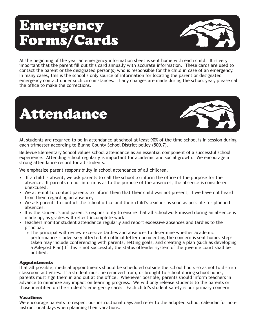### Emergency Forms/Cards



At the beginning of the year an emergency information sheet is sent home with each child. It is very important that the parent fill out this card annually with accurate information. These cards are used to contact the parent or the designated person(s) who is responsible for the child in case of an emergency. In many cases, this is the school's only source of information for locating the parent or designated emergency contact under such circumstances. If any changes are made during the school year, please call the office to make the corrections.

# Attendance



All students are required to be in attendance at school at least 90% of the time school is in session during each trimester according to Blaine County School District policy (500.7).

Bellevue Elementary School values school attendance as an essential component of a successful school experience. Attending school regularly is important for academic and social growth. We encourage a strong attendance record for all students.

We emphasize parent responsibility in school attendance of all children.

- If a child is absent, we ask parents to call the school to inform the office of the purpose for the absence. If parents do not inform us as to the purpose of the absences, the absence is considered unexcused.
- We attempt to contact parents to inform them that their child was not present, if we have not heard from them regarding an absence,
- We ask parents to contact the school office and their child's teacher as soon as possible for planned absences.
- It is the student's and parent's responsibility to ensure that all schoolwork missed during an absence is made up, as grades will reflect incomplete work.
- Teachers monitor student attendance regularly and report excessive absences and tardies to the principal.
	- » The principal will review excessive tardies and absences to determine whether academic performance is adversely affected. An official letter documenting the concern is sent home. Steps taken may include conferencing with parents, setting goals, and creating a plan (such as developing a Milepost Plan).If this is not successful, the status offender system of the juvenile court shall be notified.

#### Appointments

If at all possible, medical appointments should be scheduled outside the school hours so as not to disturb classroom activities. If a student must be removed from, or brought to school during school hours, parents must sign them in and out at the office. Whenever possible, parents should inform teachers in advance to minimize any impact on learning progress. We will only release students to the parents or those identified on the student's emergency cards. Each child's student safety is our primary concern.

#### **Vacations**

We encourage parents to respect our instructional days and refer to the adopted school calendar for noninstructional days when planning their vacations.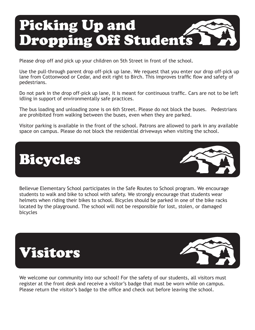## Picking Up and Dropping Off Students

Please drop off and pick up your children on 5th Street in front of the school.

Use the pull-through parent drop off-pick up lane. We request that you enter our drop off-pick up lane from Cottonwood or Cedar, and exit right to Birch. This improves traffic flow and safety of pedestrians.

Do not park in the drop off-pick up lane, it is meant for continuous traffic. Cars are not to be left idling in support of environmentally safe practices.

The bus loading and unloading zone is on 6th Street. Please do not block the buses. Pedestrians are prohibited from walking between the buses, even when they are parked.

Visitor parking is available in the front of the school. Patrons are allowed to park in any available space on campus. Please do not block the residential driveways when visiting the school.



Bellevue Elementary School participates in the Safe Routes to School program. We encourage students to walk and bike to school with safety. We strongly encourage that students wear helmets when riding their bikes to school. Bicycles should be parked in one of the bike racks located by the playground. The school will not be responsible for lost, stolen, or damaged bicycles





We welcome our community into our school! For the safety of our students, all visitors must register at the front desk and receive a visitor's badge that must be worn while on campus. Please return the visitor's badge to the office and check out before leaving the school.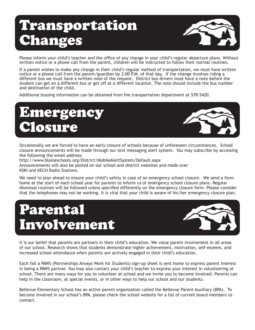### Transportation **Changes**



Please inform your child's teacher and the office of any change in your child's regular departure plans. Without written notice or a phone call from the parent, children will be instructed to follow their normal routines.

If a parent wishes to make any change in their child's regular method of transportation, we must have written notice or a phone call from the parent/guardian by 2:00 P.M. of that day. If the change involves riding a different bus we must have a written note of the request. District bus drivers must have a note before the student can get on a different bus or get off at a different location. The note should include the bus number and destination of the child.

Additional bussing information can be obtained from the transportation department at 578-5420.

### Emergency osure



Occasionally we are forced to have an early closure of schools because of unforeseen circumstances. School closure announcements will be made through our text messaging alert system. You may subscribe by accessing the following the email address:

http://www.blaineschools.org/District/MobileAlertSystem/Default.aspx Announcements will also be posted on our school and district websites and made over KSKI and KECH Radio Stations.

We need to plan ahead to ensure your child's safety in case of an emergency school closure. We send a form home at the start of each school year for parents to inform us of emergency school closure plans. Regular dismissal routines will be followed unless specified differently on the emergency closure form. Please consider that the telephones may not be working. It is vital that your child is aware of his/her emergency closure plan.

### Parental Involvement



It is our belief that parents are partners in their child's education. We value parent involvement in all areas of our school. Research shows that students demonstrate higher achievement, motivation, self-esteem, and increased school attendance when parents are actively engaged in their child's education.

Each fall a PAWS (Partnerships Always Work for Students) sign-up sheet is sent home to express parent interest in being a PAWS partner. You may also contact your child's teacher to express your interest in volunteering at school. There are many ways for you to volunteer at school and we invite you to become involved. Parents can help in the classroom, at special events, or in other ways to help our school and our students.

Bellevue Elementary School has an active parent organization called the Bellevue Parent Auxiliary (BPA). To become involved in our school's BPA, please check the school website for a list of current board members to contact.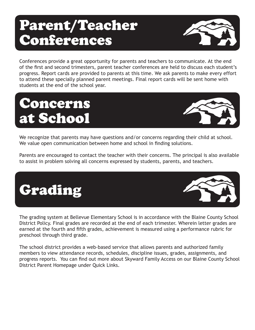### Parent/Teacher Conferences



Conferences provide a great opportunity for parents and teachers to communicate. At the end of the first and second trimesters, parent teacher conferences are held to discuss each student's progress. Report cards are provided to parents at this time. We ask parents to make every effort to attend these specially planned parent meetings. Final report cards will be sent home with students at the end of the school year.

### Concerns at School



We recognize that parents may have questions and/or concerns regarding their child at school. We value open communication between home and school in finding solutions.

Parents are encouraged to contact the teacher with their concerns. The principal is also available to assist in problem solving all concerns expressed by students, parents, and teachers.



The grading system at Bellevue Elementary School is in accordance with the Blaine County School District Policy. Final grades are recorded at the end of each trimester. Wherein letter grades are earned at the fourth and fifth grades, achievement is measured using a performance rubric for preschool through third grade.

The school district provides a web-based service that allows parents and authorized family members to view attendance records, schedules, discipline issues, grades, assignments, and progress reports. You can find out more about Skyward Family Access on our Blaine County School District Parent Homepage under Quick Links.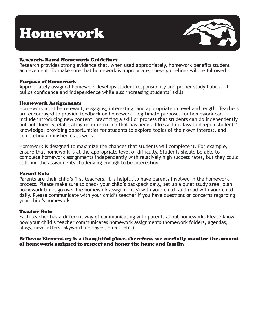### Homework



#### Research- Based Homework Guidelines

Research provides strong evidence that, when used appropriately, homework benefits student achievement. To make sure that homework is appropriate, these guidelines will be followed:

#### Purpose of Homework

Appropriately assigned homework develops student responsibility and proper study habits. It builds confidence and independence while also increasing students' skills

#### Homework Assignments

Homework must be relevant, engaging, interesting, and appropriate in level and length. Teachers are encouraged to provide feedback on homework. Legitimate purposes for homework can include introducing new content, practicing a skill or process that students can do independently but not fluently, elaborating on information that has been addressed in class to deepen students' knowledge, providing opportunities for students to explore topics of their own interest, and completing unfinished class work.

Homework is designed to maximize the chances that students will complete it. For example, ensure that homework is at the appropriate level of difficulty. Students should be able to complete homework assignments independently with relatively high success rates, but they could still find the assignments challenging enough to be interesting.

#### Parent Role

Parents are their child's first teachers. It is helpful to have parents involved in the homework process. Please make sure to check your child's backpack daily, set up a quiet study area, plan homework time, go over the homework assignment(s) with your child, and read with your child daily. Please communicate with your child's teacher if you have questions or concerns regarding your child's homework.

#### Teacher Role

Each teacher has a different way of communicating with parents about homework. Please know how your child's teacher communicates homework assignments (homework folders, agendas, blogs, newsletters, Skyward messages, email, etc.).

#### Bellevue Elementary is a thoughtful place, therefore, we carefully monitor the amount of homework assigned to respect and honor the home and family.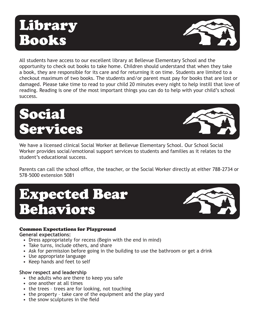### Library Books



All students have access to our excellent library at Bellevue Elementary School and the opportunity to check out books to take home. Children should understand that when they take a book, they are responsible for its care and for returning it on time. Students are limited to a checkout maximum of two books. The students and/or parent must pay for books that are lost or damaged. Please take time to read to your child 20 minutes every night to help instill that love of reading. Reading is one of the most important things you can do to help with your child's school success.





We have a licensed clinical Social Worker at Bellevue Elementary School. Our School Social Worker provides social/emotional support services to students and families as it relates to the student's educational success.

Parents can call the school office, the teacher, or the Social Worker directly at either 788-2734 or 578-5000 extension 5081

### Expected Bear Behaviors



#### Common Expectations for Playground

**General expectations:**

- Dress appropriately for recess (Begin with the end in mind)
- Take turns, include others, and share
- Ask for permission before going in the building to use the bathroom or get a drink
- Use appropriate language
- Keep hands and feet to self

#### **Show respect and leadership**

- the adults who are there to keep you safe
- one another at all times
- the trees trees are for looking, not touching
- the property take care of the equipment and the play yard
- the snow sculptures in the field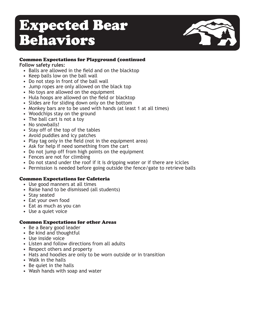### Expected Bear Behaviors



#### Common Expectations for Playground (continued

**Follow safety rules:**

- Balls are allowed in the field and on the blacktop
- Keep balls low on the ball wall
- Do not step in front of the ball wall
- Jump ropes are only allowed on the black top
- No toys are allowed on the equipment
- Hula hoops are allowed on the field or blacktop
- Slides are for sliding down only on the bottom
- Monkey bars are to be used with hands (at least 1 at all times)
- Woodchips stay on the ground
- The ball cart is not a toy
- No snowballs!
- Stay off of the top of the tables
- Avoid puddles and icy patches
- Play tag only in the field (not in the equipment area)
- Ask for help if need something from the cart
- Do not jump off from high points on the equipment
- Fences are not for climbing
- Do not stand under the roof if it is dripping water or if there are icicles
- • Permission is needed before going outside the fence/gate to retrieve balls

#### Common Expectations for Cafeteria

- Use good manners at all times
- Raise hand to be dismissed (all students)
- Stay seated
- Eat your own food
- Eat as much as you can
- Use a quiet voice

#### Common Expectations for other Areas

- Be a Beary good leader
- Be kind and thoughtful
- • Use inside voice
- Listen and follow directions from all adults
- Respect others and property
- Hats and hoodies are only to be worn outside or in transition
- Walk in the halls
- Be quiet in the halls
- Wash hands with soap and water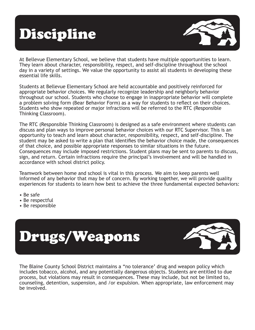## Discipline



At Bellevue Elementary School, we believe that students have multiple opportunities to learn. They learn about character, responsibility, respect, and self-discipline throughout the school day in a variety of settings. We value the opportunity to assist all students in developing these essential life skills.

Students at Bellevue Elementary School are held accountable and positively reinforced for appropriate behavior choices. We regularly recognize leadership and neighborly behavior throughout our school. Students who choose to engage in inappropriate behavior will complete a problem solving form (Bear Behavior Form) as a way for students to reflect on their choices. Students who show repeated or major infractions will be referred to the RTC (Responsible Thinking Classroom).

The RTC (Responsible Thinking Classroom) is designed as a safe environment where students can discuss and plan ways to improve personal behavior choices with our RTC Supervisor. This is an opportunity to teach and learn about character, responsibility, respect, and self-discipline. The student may be asked to write a plan that identifies the behavior choice made, the consequences of that choice, and possible appropriate responses to similar situations in the future. Consequences may include imposed restrictions. Student plans may be sent to parents to discuss, sign, and return. Certain infractions require the principal's involvement and will be handled in accordance with school district policy.

Teamwork between home and school is vital in this process. We aim to keep parents well informed of any behavior that may be of concern. By working together, we will provide quality experiences for students to learn how best to achieve the three fundamental expected behaviors:

- Be safe
- Be respectful
- Be responsible



The Blaine County School District maintains a "no tolerance' drug and weapon policy which includes tobacco, alcohol, and any potentially dangerous objects. Students are entitled to due process, but violations may result in consequences. These may include, but not be limited to, counseling, detention, suspension, and /or expulsion. When appropriate, law enforcement may be involved.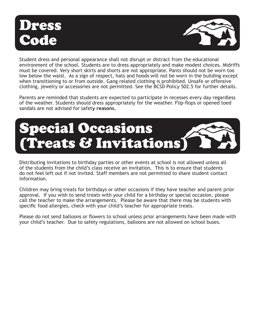### Dress ode



Student dress and personal appearance shall not disrupt or distract from the educational environment of the school. Students are to dress appropriately and make modest choices. Midriffs must be covered. Very short skirts and shorts are not appropriate. Pants should not be worn too low below the waist. As a sign of respect, hats and hoods will not be worn in the building except when transitioning to or from outside. Gang related clothing is prohibited. Unsafe or offensive clothing, jewelry or accessories are not permitted. See the BCSD Policy 502.5 for further details.

Parents are reminded that students are expected to participate in recesses every day regardless of the weather. Students should dress appropriately for the weather. Flip-flops or opened toed sandals are not advised for safet**y reasons.**



Distributing invitations to birthday parties or other events at school is not allowed unless all of the students from the child's class receive an invitation. This is to ensure that students do not feel left out if not invited. Staff members are not permitted to share student contact information.

Children may bring treats for birthdays or other occasions if they have teacher and parent prior approval. If you wish to send treats with your child for a birthday or special occasion, please call the teacher to make the arrangements. Please be aware that there may be students with specific food allergies, check with your child's teacher for appropriate treats.

Please do not send balloons or flowers to school unless prior arrangements have been made with your child's teacher. Due to safety regulations, balloons are not allowed on school buses.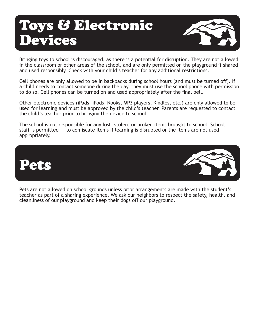### Toys & Electronic Devices



Bringing toys to school is discouraged, as there is a potential for disruption. They are not allowed in the classroom or other areas of the school, and are only permitted on the playground if shared and used responsibly. Check with your child's teacher for any additional restrictions.

Cell phones are only allowed to be in backpacks during school hours (and must be turned off). If a child needs to contact someone during the day, they must use the school phone with permission to do so. Cell phones can be turned on and used appropriately after the final bell.

Other electronic devices (iPads, iPods, Nooks, MP3 players, Kindles, etc.) are only allowed to be used for learning and must be approved by the child's teacher. Parents are requested to contact the child's teacher prior to bringing the device to school.

The school is not responsible for any lost, stolen, or broken items brought to school. School staff is permitted to confiscate items if learning is disrupted or the items are not used appropriately.



Pets are not allowed on school grounds unless prior arrangements are made with the student's teacher as part of a sharing experience. We ask our neighbors to respect the safety, health, and cleanliness of our playground and keep their dogs off our playground.